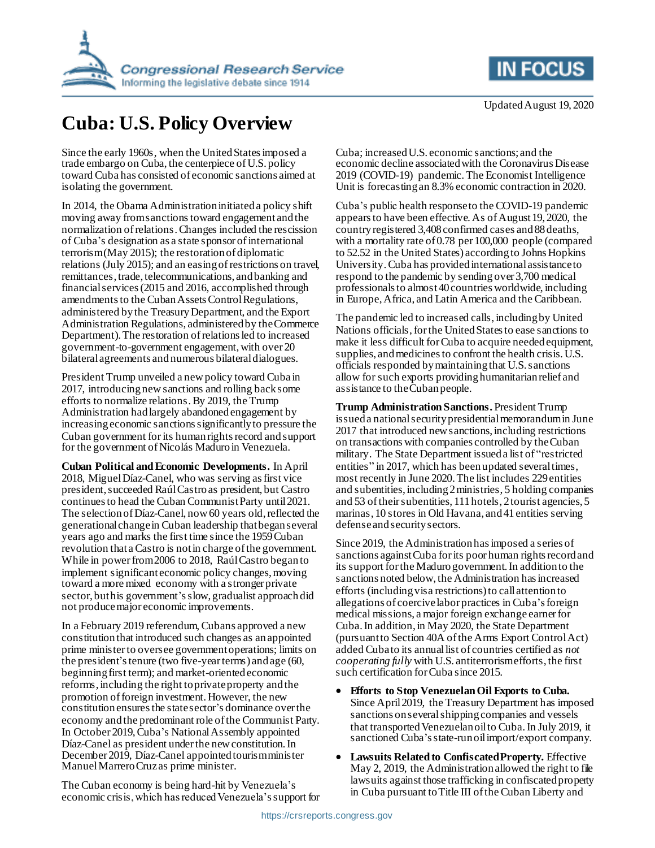

## **Cuba: U.S. Policy Overview**

Since the early 1960s, when the United Statesimposed a trade embargo on Cuba, the centerpiece of U.S. policy toward Cuba has consisted of economic sanctions aimed at isolating the government.

In 2014, the Obama Administration initiated a policy shift moving away from sanctions toward engagement and the normalization of relations.Changes included the rescission of Cuba's designation as a state sponsor of international terrorism (May 2015); the restoration of diplomatic relations (July 2015); and an easing of restrictions on travel, remittances, trade, telecommunications, and banking and financial services (2015 and 2016, accomplished through amendments to the Cuban Assets Control Regulations, administered by the Treasury Department, and the Export Administration Regulations, administered by the Commerce Department).The restoration of relations led to increased government-to-government engagement, with over 20 bilateral agreements and numerous bilateral dialogues.

President Trump unveiled a new policy toward Cuba in 2017, introducing newsanctions and rolling back some efforts to normalize relations. By 2019, the Trump Administration had largely abandoned engagement by increasingeconomic sanctions significantly to pressure the Cuban government for its human rights record and support for the government of Nicolás Maduro in Venezuela.

**Cuban Political and Economic Developments.** In April 2018, Miguel Díaz-Canel, who was serving as first vice president, succeeded Raúl Castroas president, but Castro continues to head the Cuban Communist Party until 2021. The selectionof Díaz-Canel, now 60 years old, reflected the generational change in Cuban leadership that began several years ago and marks the first time since the 1959 Cuban revolution that a Castro is not in charge of the government. While in power from 2006 to 2018, Raúl Castro began to implement significant economic policy changes, moving toward a more mixed economy with a stronger private sector, but his government'sslow, gradualist approach did not produce major economic improvements.

In a February 2019 referendum, Cubans approved a new constitution that introduced such changes as an appointed prime minister to oversee government operations; limits on the president's tenure (two five-year terms) and age (60, beginning first term); and market-oriented economic reforms, including the right to private property and the promotion of foreign investment. However, the new constitution ensuresthe state sector's dominance over the economy and the predominant role of the Communist Party. In October 2019, Cuba's National Assembly appointed Díaz-Canel as president under the newconstitution. In December 2019, Díaz-Canel appointed tourism minister Manuel Marrero Cruz as prime minister.

The Cuban economy is being hard-hit by Venezuela's economic crisis, which has reduced Venezuela's support for Cuba; increasedU.S. economic sanctions; and the economic decline associated with the Coronavirus Disease

2019 (COVID-19) pandemic. The Economist Intelligence Unit is forecasting an 8.3% economic contraction in 2020. Cuba's public health response to the COVID-19 pandemic appears to have been effective. As of August 19, 2020, the

country registered 3,408confirmed cases and 88deaths, with a mortality rate of 0.78 per 100,000 people (compared to 52.52 in the United States) according to Johns Hopkins University. Cuba has providedinternational assistance to respond to the pandemic by sending over 3,700 medical professionals to almost40 countries worldwide, including in Europe, Africa, and Latin America and the Caribbean.

The pandemic led to increased calls, including by United Nations officials, for the United States to ease sanctions to make it less difficult for Cuba to acquire needed equipment, supplies, and medicines to confront the health crisis. U.S. officials responded by maintaining that U.S. sanctions allow for such exports providing humanitarian relief and assistance to the Cuban people.

**Trump Administration Sanctions.** President Trump issued a national security presidential memorandumin June 2017 that introduced new sanctions, including restrictions on transactions with companies controlled by the Cuban military. The State Department issued a list of "restricted entities" in 2017, which has been updated several times, most recently in June 2020. The list includes 229entities and subentities, including 2 ministries, 5 holding companies and 53 of their subentities, 111 hotels, 2 tourist agencies, 5 marinas, 10 stores in Old Havana, and 41 entities serving defense and security sectors.

Since 2019, the Administration hasimposed a series of sanctions against Cuba for its poor human rights record and its support for the Maduro government. In addition to the sanctions noted below, the Administration has increased efforts (including visa restrictions) to call attention to allegations of coercive labor practices in Cuba's foreign medical missions, a major foreign exchange earner for Cuba. In addition, in May 2020, the State Department (pursuant to Section 40A of the Arms Export Control Act) added Cuba to its annual list of countries certified as *not cooperating fully* with U.S. antiterrorism efforts, the first such certification for Cuba since 2015.

- **Efforts to Stop Venezuelan Oil Exports to Cuba.** Since April 2019, the Treasury Department has imposed sanctions on several shipping companies and vessels that transported Venezuelan oil to Cuba. In July 2019, it sanctioned Cuba's state-runoil import/export company.
- **Lawsuits Related to Confiscated Property.** Effective May 2, 2019, the Administration allowed the right to file lawsuits against those trafficking in confiscated property in Cuba pursuant to Title III of the Cuban Liberty and

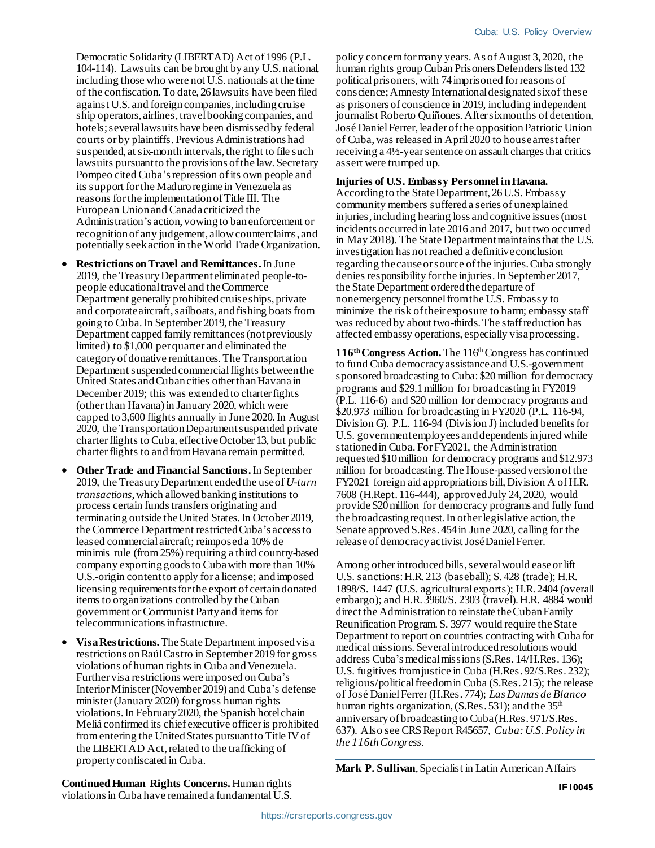Democratic Solidarity (LIBERTAD) Act of 1996 (P.L. 104-114). Lawsuits can be brought by any U.S. national, including those who were not U.S. nationals at the time of the confiscation. To date, 26lawsuits have been filed against U.S. and foreign companies, including cruise ship operators, airlines, travel booking companies, and hotels; several lawsuits have been dismissed by federal courts or by plaintiffs. Previous Administrations had suspended, at six-month intervals, the right to file such lawsuits pursuant to the provisions of the law. Secretary Pompeo cited Cuba's repression of its own people and its support for the Maduro regime in Venezuela as reasons for the implementation of Title III. The European Union and Canada criticized the Administration's action, vowing to ban enforcement or recognition of any judgement, allow counterclaims, and potentially seek action in the World Trade Organization.

- **Restrictions on Travel and Remittances.**In June 2019, the Treasury Department eliminated people-topeople educational travel and the Commerce Department generally prohibited cruise ships, private and corporate aircraft, sailboats, and fishing boats from going to Cuba. In September 2019, the Treasury Department capped family remittances (not previously limited) to \$1,000 per quarter and eliminated the category of donative remittances. The Transportation Department suspended commercial flights between the United States and Cuban cities other than Havana in December 2019; this was extended to charter fights (other than Havana) in January 2020, which were capped to 3,600 flights annually in June 2020.In August 2020, the Transportation Department suspended private charter flights to Cuba, effective October 13, but public charter flights to and from Havana remain permitted.
- **Other Trade and Financial Sanctions.** In September 2019, the Treasury Department endedthe use of *U-turn transactions*,which allowed banking institutions to process certain funds transfers originating and terminating outside the United States. In October 2019, the Commerce Department restricted Cuba's access to leased commercial aircraft; reimposeda 10% de minimis rule (from 25%) requiring a third country-based company exporting goods to Cuba with more than 10% U.S.-origin content to apply for a license; and imposed licensing requirements for the export of certain donated items to organizations controlled by the Cuban government or Communist Party and items for telecommunications infrastructure.
- **Visa Restrictions.**The State Department imposed visa restrictions on Raúl Castro in September 2019 for gross violations of human rights in Cuba and Venezuela. Further visa restrictions were imposed on Cuba's Interior Minister (November 2019) and Cuba's defense minister (January 2020) for gross human rights violations.In February 2020, the Spanish hotel chain Meliá confirmed its chief executive officer is prohibited from entering the United States pursuant to Title IV of the LIBERTAD Act, related to the trafficking of property confiscated in Cuba.

policy concernfor many years.As of August 3, 2020, the human rights group Cuban Prisoners Defenders listed 132 political prisoners, with 74imprisoned for reasons of conscience; Amnesty International designated six of these as prisoners of conscience in 2019, including independent journalist Roberto Quiñones. After six months of detention, José Daniel Ferrer, leader of the opposition Patriotic Union of Cuba,was released in April 2020 to house arrest after receiving a 4½-yearsentence on assault charges that critics assert were trumped up.

## **Injuries of U.S. Embassy Personnel in Havana.**

According to the State Department, 26U.S. Embassy community members suffered a series of unexplained injuries, including hearing loss and cognitive issues (most incidents occurred in late 2016 and 2017, but two occurred in May 2018). The State Department maintains that the U.S. investigation has not reached a definitive conclusion regarding the causeor source of the injuries. Cuba strongly denies responsibility for the injuries. In September 2017, the State Department ordered the departure of nonemergency personnel from the U.S. Embassy to minimize the risk of their exposure to harm; embassy staff was reduced by about two-thirds. The staff reduction has affected embassy operations, especially visa processing.

116<sup>th</sup> Congress Action. The 116<sup>th</sup> Congress has continued to fund Cuba democracy assistanceand U.S.-government sponsored broadcasting to Cuba: \$20 million for democracy programs and \$29.1 million for broadcasting in FY2019 (P.L. 116-6) and \$20 million for democracy programs and \$20.973 million for broadcasting in FY2020 (P.L. 116-94, Division G). P.L. 116-94 (Division J) included benefits for U.S. government employees and dependents injured while stationed in Cuba. For FY2021, the Administration requested \$10 million for democracy programs and \$12.973 million for broadcasting. The House-passed version of the FY2021 foreign aid appropriations bill, Division A of H.R. 7608 (H.Rept. 116-444), approved July 24, 2020, would provide \$20 million for democracy programs and fully fund the broadcasting request. In other legislative action, the Senate approved S.Res. 454 in June 2020, calling for the release of democracy activist José Daniel Ferrer.

Among other introduced bills, several would easeor lift U.S. sanctions:H.R. 213 (baseball); S. 428 (trade); H.R. 1898/S. 1447 (U.S. agricultural exports); H.R. 2404 (overall embargo); and H.R. 3960/S. 2303 (travel). H.R. 4884 would direct the Administration to reinstate the Cuban Family Reunification Program. S. 3977 would require the State Department to report on countries contracting with Cuba for medical missions. Several introduced resolutions would address Cuba's medical missions(S.Res. 14/H.Res. 136); U.S. fugitives from justice in Cuba (H.Res. 92/S.Res. 232); religious/political freedom in Cuba (S.Res. 215); the release of José Daniel Ferrer (H.Res. 774); *Las Damas de Blanco* human rights organization, (S.Res. 531); and the  $35<sup>th</sup>$ anniversary of broadcasting to Cuba (H.Res. 971/S.Res. 637). Also see CRS Report R45657, *Cuba: U.S. Policy in the 116th Congress*.

**Mark P. Sullivan**, Specialist in Latin American Affairs

**Continued Human Rights Concerns.** Human rights violations in Cuba have remained a fundamental U.S.